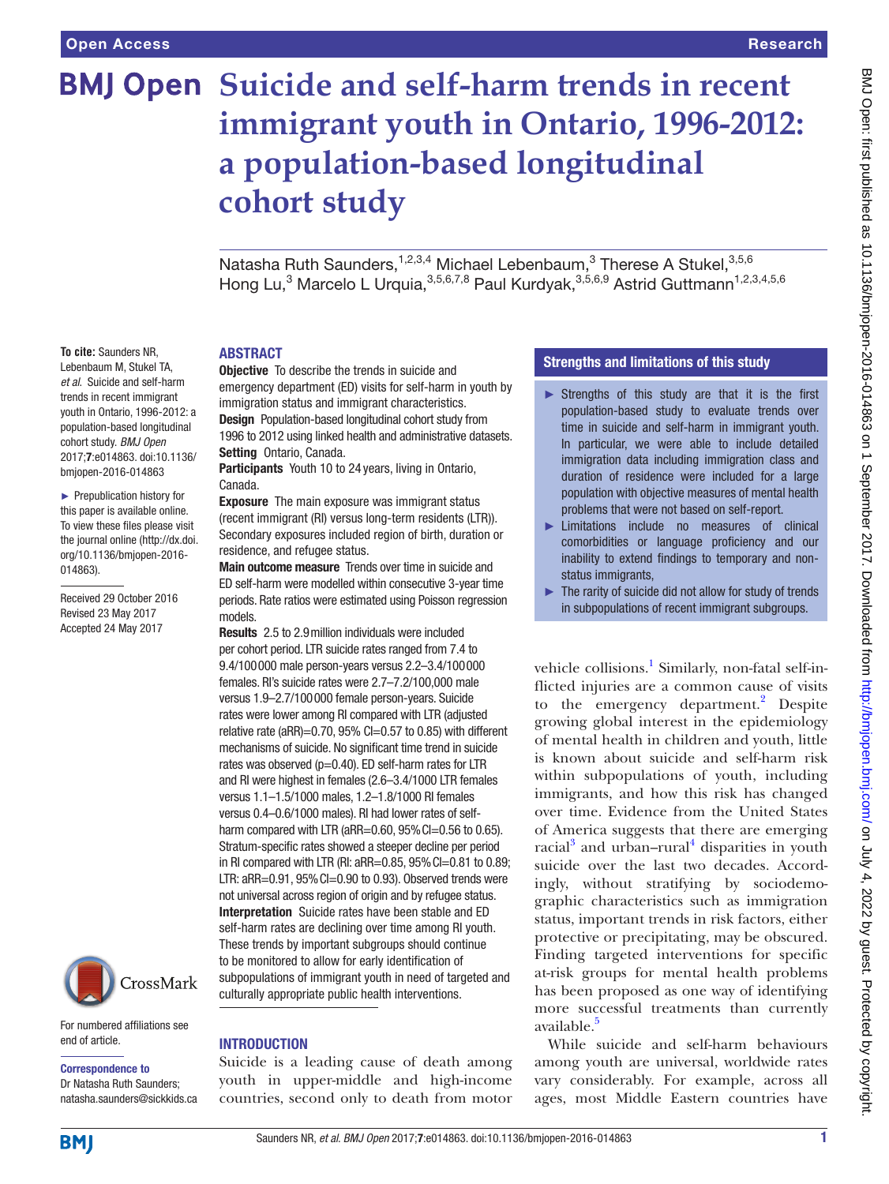**To cite:** Saunders NR, Lebenbaum M, Stukel TA, *et al*. Suicide and self-harm trends in recent immigrant youth in Ontario, 1996-2012: a population-based longitudinal cohort study. *BMJ Open* 2017;7:e014863. doi:10.1136/ bmjopen-2016-014863 ► Prepublication history for this paper is available online. To view these files please visit the journal online [\(http://dx.doi.](http://dx.doi.org/10.1136/bmjopen-2016-014863) [org/10.1136/bmjopen-2016-](http://dx.doi.org/10.1136/bmjopen-2016-014863)

[014863\)](http://dx.doi.org/10.1136/bmjopen-2016-014863).

Received 29 October 2016 Revised 23 May 2017 Accepted 24 May 2017

# **BMJ Open Suicide and self-harm trends in recent immigrant youth in Ontario, 1996-2012: a population-based longitudinal cohort study**

Natasha Ruth Saunders,<sup>1,2,3,4</sup> Michael Lebenbaum,<sup>3</sup> Therese A Stukel,<sup>3,5,6</sup> Hong Lu,<sup>3</sup> Marcelo L Urquia,<sup>3,5,6,7,8</sup> Paul Kurdyak,<sup>3,5,6,9</sup> Astrid Guttmann<sup>1,2,3,4,5,6</sup>

#### **ABSTRACT**

**Objective** To describe the trends in suicide and emergency department (ED) visits for self-harm in youth by immigration status and immigrant characteristics. Design Population-based longitudinal cohort study from 1996 to 2012 using linked health and administrative datasets. Setting Ontario, Canada.

Participants Youth 10 to 24 years, living in Ontario, Canada.

Exposure The main exposure was immigrant status (recent immigrant (RI) versus long-term residents (LTR)). Secondary exposures included region of birth, duration or residence, and refugee status.

Main outcome measure Trends over time in suicide and ED self-harm were modelled within consecutive 3-year time periods. Rate ratios were estimated using Poisson regression models.

Results 2.5 to 2.9million individuals were included per cohort period. LTR suicide rates ranged from 7.4 to 9.4/100000 male person-years versus 2.2–3.4/100000 females. RI's suicide rates were 2.7–7.2/100,000 male versus 1.9–2.7/100000 female person-years. Suicide rates were lower among RI compared with LTR (adjusted relative rate (aRR)=0.70, 95% CI=0.57 to 0.85) with different mechanisms of suicide. No significant time trend in suicide rates was observed (p=0.40). ED self-harm rates for LTR and RI were highest in females (2.6–3.4/1000 LTR females versus 1.1–1.5/1000 males, 1.2–1.8/1000 RI females versus 0.4–0.6/1000 males). RI had lower rates of selfharm compared with LTR (aRR=0.60, 95% Cl=0.56 to 0.65). Stratum-specific rates showed a steeper decline per period in RI compared with LTR (RI: aRR=0.85, 95%CI=0.81 to 0.89; LTR: aRR=0.91, 95%CI=0.90 to 0.93). Observed trends were not universal across region of origin and by refugee status. Interpretation Suicide rates have been stable and ED self-harm rates are declining over time among RI youth. These trends by important subgroups should continue to be monitored to allow for early identification of subpopulations of immigrant youth in need of targeted and culturally appropriate public health interventions.

# CrossMark

For numbered affiliations see end of article.

#### Correspondence to

Dr Natasha Ruth Saunders; natasha.saunders@sickkids.ca

# **INTRODUCTION**

Suicide is a leading cause of death among youth in upper-middle and high-income countries, second only to death from motor

# Strengths and limitations of this study

- $\triangleright$  Strengths of this study are that it is the first population-based study to evaluate trends over time in suicide and self-harm in immigrant youth. In particular, we were able to include detailed immigration data including immigration class and duration of residence were included for a large population with objective measures of mental health problems that were not based on self-report.
- ► Limitations include no measures of clinical comorbidities or language proficiency and our inability to extend findings to temporary and nonstatus immigrants,
- $\blacktriangleright$  The rarity of suicide did not allow for study of trends in subpopulations of recent immigrant subgroups.

vehicle collisions.<sup>[1](#page-8-0)</sup> Similarly, non-fatal self-inflicted injuries are a common cause of visits to the emergency department.<sup>[2](#page-8-1)</sup> Despite growing global interest in the epidemiology of mental health in children and youth, little is known about suicide and self-harm risk within subpopulations of youth, including immigrants, and how this risk has changed over time. Evidence from the United States of America suggests that there are emerging racial<sup>3</sup> and urban-rural<sup>4</sup> disparities in youth suicide over the last two decades. Accordingly, without stratifying by sociodemographic characteristics such as immigration status, important trends in risk factors, either protective or precipitating, may be obscured. Finding targeted interventions for specific at-risk groups for mental health problems has been proposed as one way of identifying more successful treatments than currently available.<sup>[5](#page-8-4)</sup>

While suicide and self-harm behaviours among youth are universal, worldwide rates vary considerably. For example, across all ages, most Middle Eastern countries have

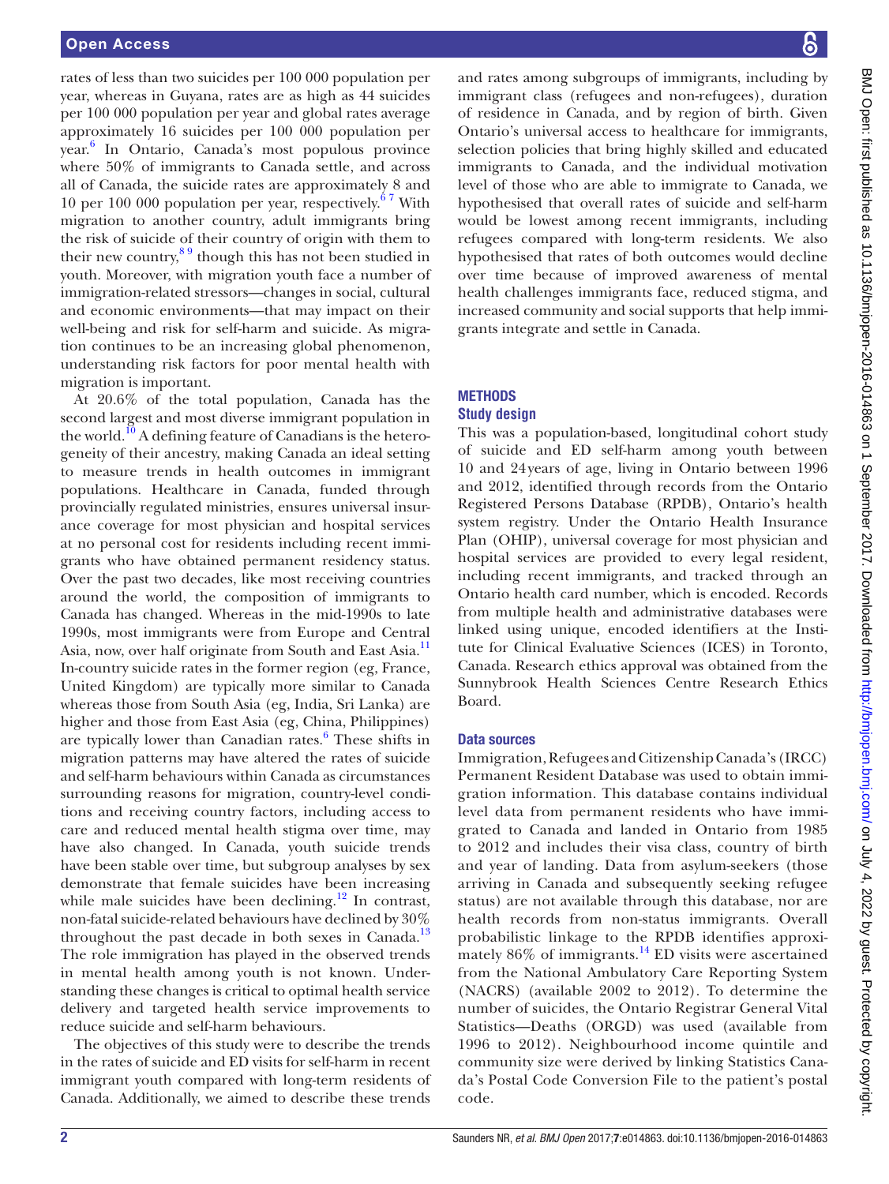rates of less than two suicides per 100 000 population per year, whereas in Guyana, rates are as high as 44 suicides per 100 000 population per year and global rates average approximately 16 suicides per 100 000 population per year. [6](#page-8-5) In Ontario, Canada's most populous province where 50% of immigrants to Canada settle, and across all of Canada, the suicide rates are approximately 8 and 10 per 100 000 population per year, respectively. $67$  With migration to another country, adult immigrants bring the risk of suicide of their country of origin with them to their new country, $89$  though this has not been studied in youth. Moreover, with migration youth face a number of immigration-related stressors—changes in social, cultural and economic environments—that may impact on their well-being and risk for self-harm and suicide. As migration continues to be an increasing global phenomenon, understanding risk factors for poor mental health with migration is important.

At 20.6% of the total population, Canada has the second largest and most diverse immigrant population in the world.<sup>10</sup> A defining feature of Canadians is the heterogeneity of their ancestry, making Canada an ideal setting to measure trends in health outcomes in immigrant populations. Healthcare in Canada, funded through provincially regulated ministries, ensures universal insurance coverage for most physician and hospital services at no personal cost for residents including recent immigrants who have obtained permanent residency status. Over the past two decades, like most receiving countries around the world, the composition of immigrants to Canada has changed. Whereas in the mid-1990s to late 1990s, most immigrants were from Europe and Central Asia, now, over half originate from South and East Asia.<sup>11</sup> In-country suicide rates in the former region (eg, France, United Kingdom) are typically more similar to Canada whereas those from South Asia (eg, India, Sri Lanka) are higher and those from East Asia (eg, China, Philippines) are typically lower than Canadian rates.<sup>[6](#page-8-5)</sup> These shifts in migration patterns may have altered the rates of suicide and self-harm behaviours within Canada as circumstances surrounding reasons for migration, country-level conditions and receiving country factors, including access to care and reduced mental health stigma over time, may have also changed. In Canada, youth suicide trends have been stable over time, but subgroup analyses by sex demonstrate that female suicides have been increasing while male suicides have been declining.<sup>12</sup> In contrast, non-fatal suicide-related behaviours have declined by 30% throughout the past decade in both sexes in Canada.<sup>13</sup> The role immigration has played in the observed trends in mental health among youth is not known. Understanding these changes is critical to optimal health service delivery and targeted health service improvements to reduce suicide and self-harm behaviours.

The objectives of this study were to describe the trends in the rates of suicide and ED visits for self-harm in recent immigrant youth compared with long-term residents of Canada. Additionally, we aimed to describe these trends

BMJ Open: first published as 10.1136/bmjopen-2016-014863 on 1 September 2017. Downloaded from http://bmjopen.bmj.com/ on July 4, 2022 by guest. Protected by copyright BMJ Open: first published as 10.1136/bmjopen-2016-014-8963 on 1 September 2017. Downloaded from <http://bmjopen.bmj.com/> on July 4, 2022 by guest. Protected by copyright.

and rates among subgroups of immigrants, including by immigrant class (refugees and non-refugees), duration of residence in Canada, and by region of birth. Given Ontario's universal access to healthcare for immigrants, selection policies that bring highly skilled and educated immigrants to Canada, and the individual motivation level of those who are able to immigrate to Canada, we hypothesised that overall rates of suicide and self-harm would be lowest among recent immigrants, including refugees compared with long-term residents. We also hypothesised that rates of both outcomes would decline over time because of improved awareness of mental health challenges immigrants face, reduced stigma, and increased community and social supports that help immigrants integrate and settle in Canada.

### **METHODS Study design**

This was a population-based, longitudinal cohort study of suicide and ED self-harm among youth between 10 and 24years of age, living in Ontario between 1996 and 2012, identified through records from the Ontario Registered Persons Database (RPDB), Ontario's health system registry. Under the Ontario Health Insurance Plan (OHIP), universal coverage for most physician and hospital services are provided to every legal resident, including recent immigrants, and tracked through an Ontario health card number, which is encoded. Records from multiple health and administrative databases were linked using unique, encoded identifiers at the Institute for Clinical Evaluative Sciences (ICES) in Toronto, Canada. Research ethics approval was obtained from the Sunnybrook Health Sciences Centre Research Ethics Board.

# Data sources

Immigration, Refugees and Citizenship Canada's (IRCC) Permanent Resident Database was used to obtain immigration information. This database contains individual level data from permanent residents who have immigrated to Canada and landed in Ontario from 1985 to 2012 and includes their visa class, country of birth and year of landing. Data from asylum-seekers (those arriving in Canada and subsequently seeking refugee status) are not available through this database, nor are health records from non-status immigrants. Overall probabilistic linkage to the RPDB identifies approximately  $86\%$  of immigrants.<sup>[14](#page-8-11)</sup> ED visits were ascertained from the National Ambulatory Care Reporting System (NACRS) (available 2002 to 2012). To determine the number of suicides, the Ontario Registrar General Vital Statistics—Deaths (ORGD) was used (available from 1996 to 2012). Neighbourhood income quintile and community size were derived by linking Statistics Canada's Postal Code Conversion File to the patient's postal code.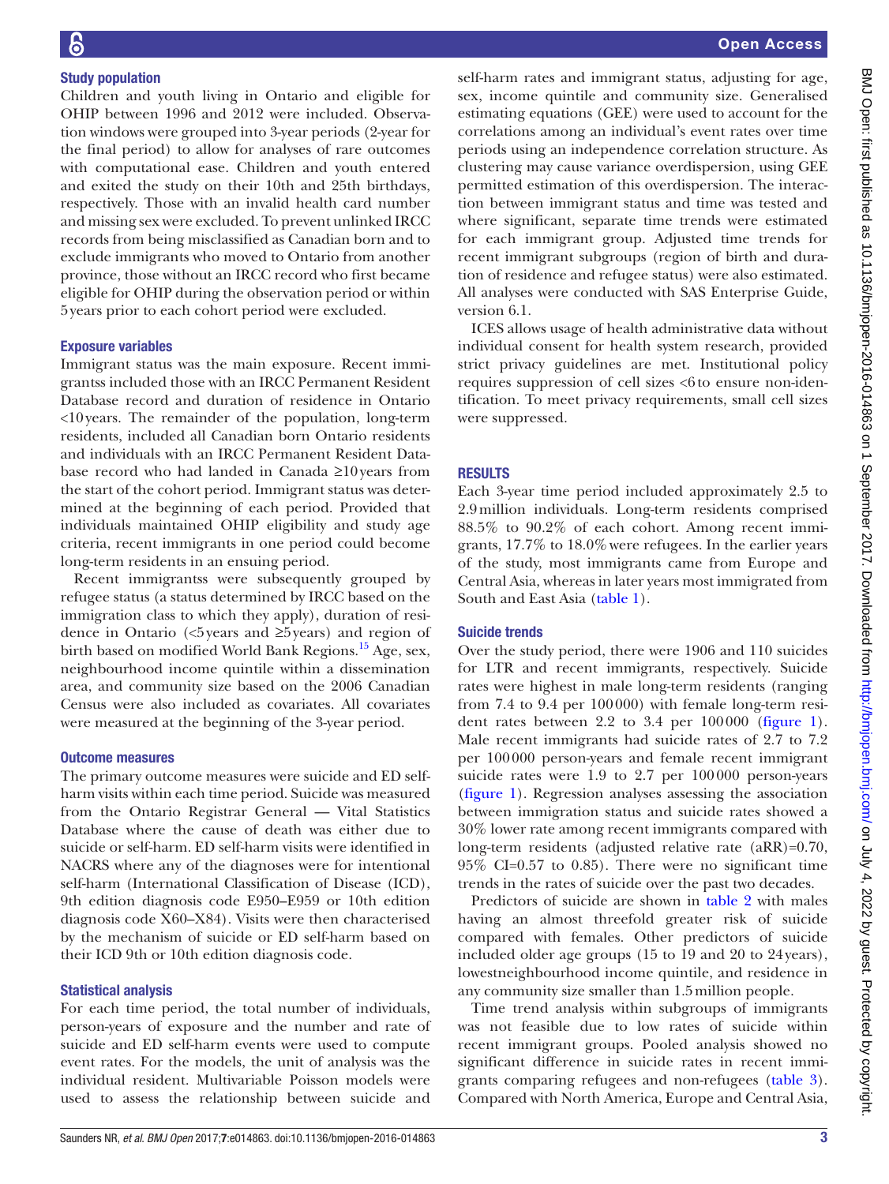# Study population

Children and youth living in Ontario and eligible for OHIP between 1996 and 2012 were included. Observation windows were grouped into 3-year periods (2-year for the final period) to allow for analyses of rare outcomes with computational ease. Children and youth entered and exited the study on their 10th and 25th birthdays, respectively. Those with an invalid health card number and missing sex were excluded. To prevent unlinked IRCC records from being misclassified as Canadian born and to exclude immigrants who moved to Ontario from another province, those without an IRCC record who first became eligible for OHIP during the observation period or within 5years prior to each cohort period were excluded.

# Exposure variables

Immigrant status was the main exposure. Recent immigrantss included those with an IRCC Permanent Resident Database record and duration of residence in Ontario <10years. The remainder of the population, long-term residents, included all Canadian born Ontario residents and individuals with an IRCC Permanent Resident Database record who had landed in Canada ≥10years from the start of the cohort period. Immigrant status was determined at the beginning of each period. Provided that individuals maintained OHIP eligibility and study age criteria, recent immigrants in one period could become long-term residents in an ensuing period.

Recent immigrantss were subsequently grouped by refugee status (a status determined by IRCC based on the immigration class to which they apply), duration of residence in Ontario (<5years and ≥5years) and region of birth based on modified World Bank Regions.[15](#page-8-12) Age, sex, neighbourhood income quintile within a dissemination area, and community size based on the 2006 Canadian Census were also included as covariates. All covariates were measured at the beginning of the 3-year period.

### Outcome measures

The primary outcome measures were suicide and ED selfharm visits within each time period. Suicide was measured from the Ontario Registrar General — Vital Statistics Database where the cause of death was either due to suicide or self-harm. ED self-harm visits were identified in NACRS where any of the diagnoses were for intentional self-harm (International Classification of Disease (ICD), 9th edition diagnosis code E950–E959 or 10th edition diagnosis code X60–X84). Visits were then characterised by the mechanism of suicide or ED self-harm based on their ICD 9th or 10th edition diagnosis code.

### Statistical analysis

For each time period, the total number of individuals, person-years of exposure and the number and rate of suicide and ED self-harm events were used to compute event rates. For the models, the unit of analysis was the individual resident. Multivariable Poisson models were used to assess the relationship between suicide and

self-harm rates and immigrant status, adjusting for age, sex, income quintile and community size. Generalised estimating equations (GEE) were used to account for the correlations among an individual's event rates over time periods using an independence correlation structure. As clustering may cause variance overdispersion, using GEE permitted estimation of this overdispersion. The interaction between immigrant status and time was tested and where significant, separate time trends were estimated for each immigrant group. Adjusted time trends for recent immigrant subgroups (region of birth and duration of residence and refugee status) were also estimated. All analyses were conducted with SAS Enterprise Guide, version 6.1.

ICES allows usage of health administrative data without individual consent for health system research, provided strict privacy guidelines are met. Institutional policy requires suppression of cell sizes <6to ensure non-identification. To meet privacy requirements, small cell sizes were suppressed.

# **RESULTS**

Each 3-year time period included approximately 2.5 to 2.9million individuals. Long-term residents comprised 88.5% to 90.2% of each cohort. Among recent immigrants, 17.7% to 18.0%were refugees. In the earlier years of the study, most immigrants came from Europe and Central Asia, whereas in later years most immigrated from South and East Asia ([table](#page-3-0) 1).

### Suicide trends

Over the study period, there were 1906 and 110 suicides for LTR and recent immigrants, respectively. Suicide rates were highest in male long-term residents (ranging from 7.4 to 9.4 per 100000) with female long-term resident rates between 2.2 to 3.4 per 100000 [\(figure](#page-4-0) 1). Male recent immigrants had suicide rates of 2.7 to 7.2 per 100000 person-years and female recent immigrant suicide rates were 1.9 to 2.7 per 100000 person-years [\(figure](#page-4-0) 1). Regression analyses assessing the association between immigration status and suicide rates showed a 30% lower rate among recent immigrants compared with long-term residents (adjusted relative rate (aRR)=0.70, 95% CI=0.57 to 0.85). There were no significant time trends in the rates of suicide over the past two decades.

Predictors of suicide are shown in [table](#page-5-0) 2 with males having an almost threefold greater risk of suicide compared with females. Other predictors of suicide included older age groups (15 to 19 and 20 to 24years), lowestneighbourhood income quintile, and residence in any community size smaller than 1.5million people.

Time trend analysis within subgroups of immigrants was not feasible due to low rates of suicide within recent immigrant groups. Pooled analysis showed no significant difference in suicide rates in recent immigrants comparing refugees and non-refugees ([table](#page-6-0) 3). Compared with North America, Europe and Central Asia,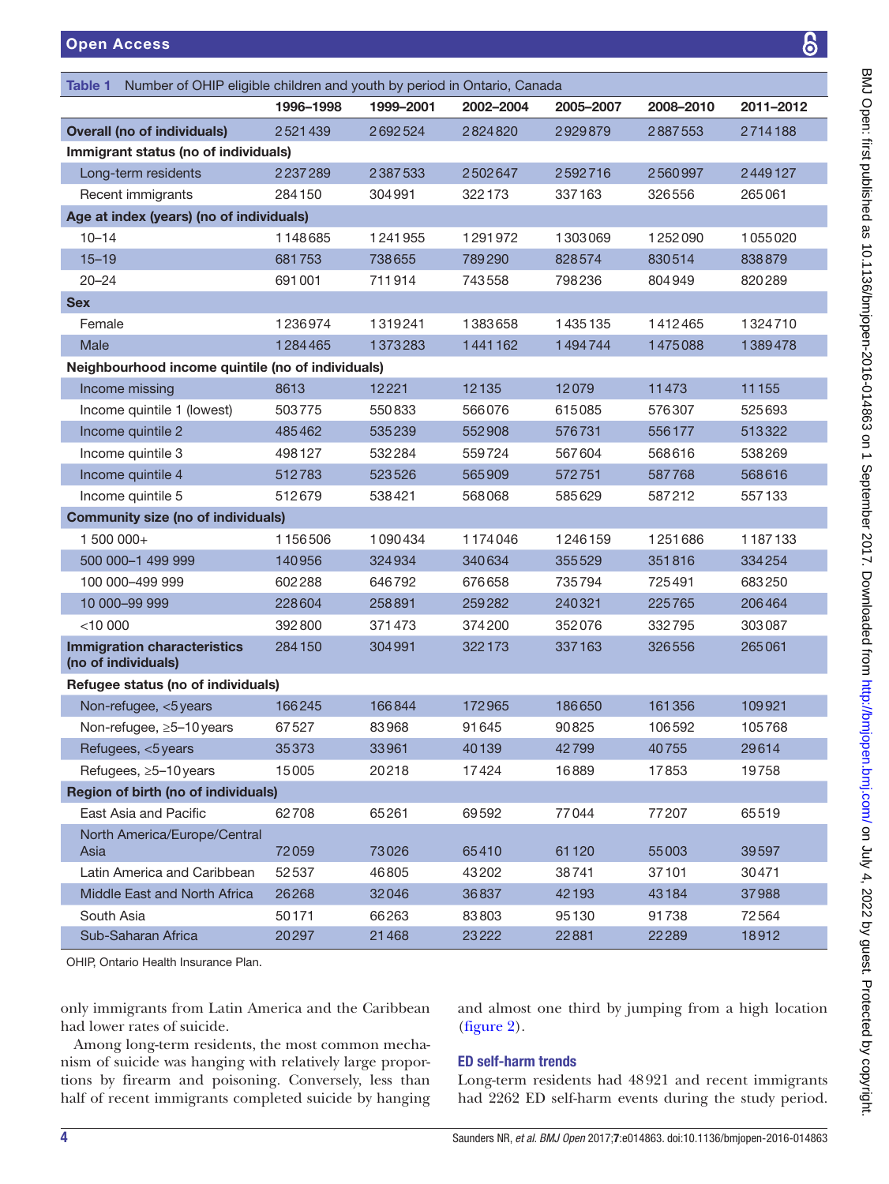<span id="page-3-0"></span>

| Number of OHIP eligible children and youth by period in Ontario, Canada<br>Table 1 |           |           |           |           |           |           |
|------------------------------------------------------------------------------------|-----------|-----------|-----------|-----------|-----------|-----------|
|                                                                                    | 1996-1998 | 1999-2001 | 2002-2004 | 2005-2007 | 2008-2010 | 2011-2012 |
| <b>Overall (no of individuals)</b>                                                 | 2521439   | 2692524   | 2824820   | 2929879   | 2887553   | 2714188   |
| Immigrant status (no of individuals)                                               |           |           |           |           |           |           |
| Long-term residents                                                                | 2237289   | 2387533   | 2502647   | 2592716   | 2560997   | 2449127   |
| Recent immigrants                                                                  | 284150    | 304991    | 322173    | 337163    | 326556    | 265061    |
| Age at index (years) (no of individuals)                                           |           |           |           |           |           |           |
| $10 - 14$                                                                          | 1148685   | 1241955   | 1291972   | 1303069   | 1252090   | 1055020   |
| $15 - 19$                                                                          | 681753    | 738655    | 789290    | 828574    | 830514    | 838879    |
| $20 - 24$                                                                          | 691001    | 711914    | 743558    | 798236    | 804949    | 820289    |
| <b>Sex</b>                                                                         |           |           |           |           |           |           |
| Female                                                                             | 1236974   | 1319241   | 1383658   | 1435135   | 1412465   | 1324710   |
| Male                                                                               | 1284465   | 1373283   | 1441162   | 1494744   | 1475088   | 1389478   |
| Neighbourhood income quintile (no of individuals)                                  |           |           |           |           |           |           |
| Income missing                                                                     | 8613      | 12221     | 12135     | 12079     | 11473     | 11155     |
| Income quintile 1 (lowest)                                                         | 503775    | 550833    | 566076    | 615085    | 576307    | 525693    |
| Income quintile 2                                                                  | 485462    | 535239    | 552908    | 576731    | 556177    | 513322    |
| Income quintile 3                                                                  | 498127    | 532284    | 559724    | 567604    | 568616    | 538269    |
| Income quintile 4                                                                  | 512783    | 523526    | 565909    | 572751    | 587768    | 568616    |
| Income quintile 5                                                                  | 512679    | 538421    | 568068    | 585629    | 587212    | 557133    |
| <b>Community size (no of individuals)</b>                                          |           |           |           |           |           |           |
| 1 500 000+                                                                         | 1156506   | 1090434   | 1174046   | 1246159   | 1251686   | 1187133   |
| 500 000-1 499 999                                                                  | 140956    | 324934    | 340634    | 355529    | 351816    | 334254    |
| 100 000-499 999                                                                    | 602288    | 646792    | 676658    | 735794    | 725491    | 683250    |
| 10 000-99 999                                                                      | 228604    | 258891    | 259282    | 240321    | 225765    | 206464    |
| $<$ 10 000                                                                         | 392800    | 371473    | 374200    | 352076    | 332795    | 303087    |
| <b>Immigration characteristics</b><br>(no of individuals)                          | 284150    | 304991    | 322173    | 337163    | 326556    | 265061    |
| Refugee status (no of individuals)                                                 |           |           |           |           |           |           |
| Non-refugee, <5 years                                                              | 166245    | 166844    | 172965    | 186650    | 161356    | 109921    |
| Non-refugee, ≥5-10 years                                                           | 67527     | 83968     | 91645     | 90825     | 106592    | 105768    |
| Refugees, <5 years                                                                 | 35373     | 33961     | 40139     | 42799     | 40755     | 29614     |
| Refugees, ≥5-10 years                                                              | 15005     | 20218     | 17424     | 16889     | 17853     | 19758     |
| Region of birth (no of individuals)                                                |           |           |           |           |           |           |
| East Asia and Pacific                                                              | 62708     | 65261     | 69592     | 77044     | 77207     | 65519     |
| North America/Europe/Central<br>Asia                                               | 72059     | 73026     | 65410     | 61120     | 55003     | 39597     |
| Latin America and Caribbean                                                        | 52537     | 46805     | 43202     | 38741     | 37101     | 30471     |
| Middle East and North Africa                                                       | 26268     | 32046     | 36837     | 42193     | 43184     | 37988     |
| South Asia                                                                         | 50171     | 66263     | 83803     | 95130     | 91738     | 72564     |
| Sub-Saharan Africa                                                                 | 20297     | 21468     | 23222     | 22881     | 22289     | 18912     |
|                                                                                    |           |           |           |           |           |           |

OHIP, Ontario Health Insurance Plan.

only immigrants from Latin America and the Caribbean had lower rates of suicide.

Among long-term residents, the most common mechanism of suicide was hanging with relatively large proportions by firearm and poisoning. Conversely, less than half of recent immigrants completed suicide by hanging

and almost one third by jumping from a high location [\(figure](#page-6-1) 2).

### ED self-harm trends

Long-term residents had 48921 and recent immigrants had 2262 ED self-harm events during the study period.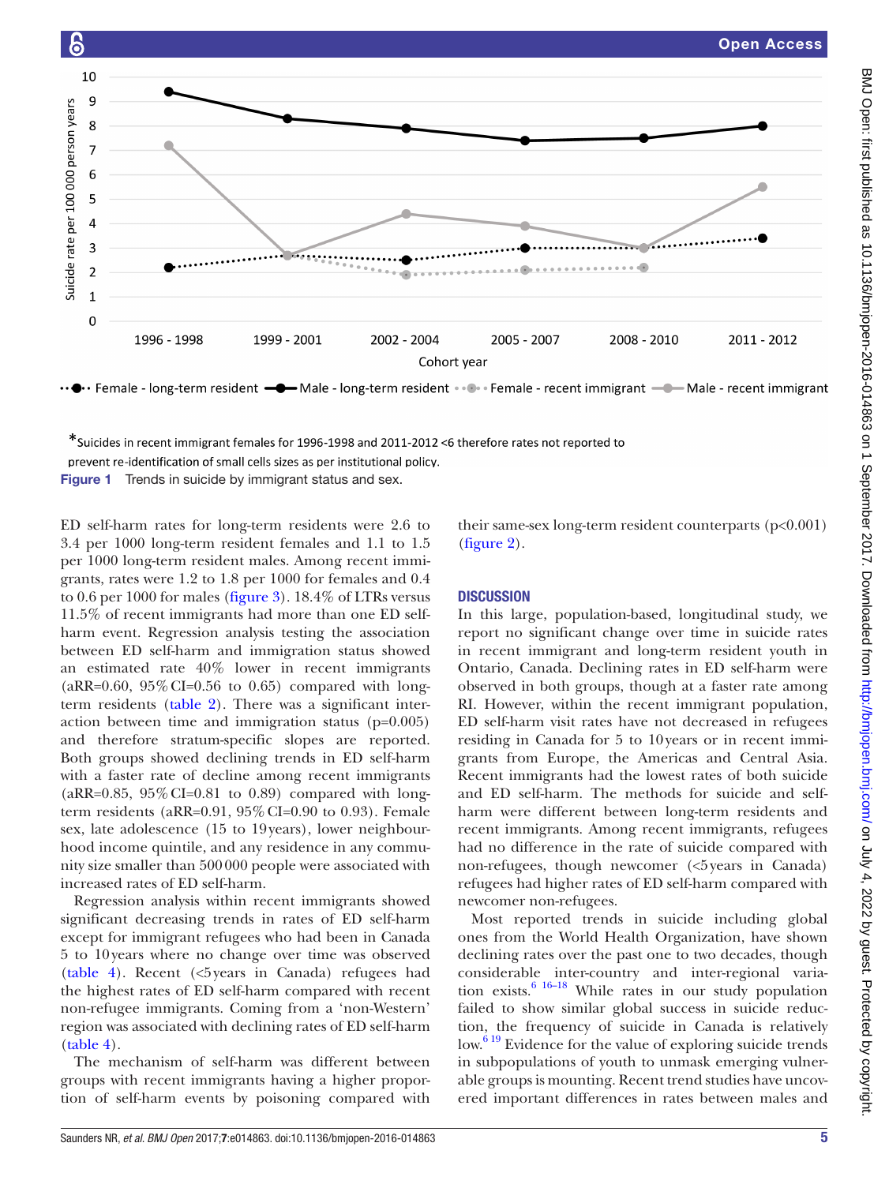Open Access

# $10$  $\overline{q}$ Suicide rate per 100 000 person years  $\overline{8}$  $\overline{7}$ 6 5  $\overline{a}$  $\overline{3}$  $\overline{2}$  $\overline{1}$  $\mathbf 0$ 1996 - 1998 1999 - 2001 2002 - 2004 2005 - 2007 2008 - 2010 2011 - 2012 Cohort year

\*Suicides in recent immigrant females for 1996-1998 and 2011-2012 <6 therefore rates not reported to

<span id="page-4-0"></span>prevent re-identification of small cells sizes as per institutional policy.

Figure 1 Trends in suicide by immigrant status and sex.

ED self-harm rates for long-term residents were 2.6 to 3.4 per 1000 long-term resident females and 1.1 to 1.5 per 1000 long-term resident males. Among recent immigrants, rates were 1.2 to 1.8 per 1000 for females and 0.4 to 0.6 per 1000 for males [\(figure](#page-7-0) 3). 18.4% of LTRs versus 11.5% of recent immigrants had more than one ED selfharm event. Regression analysis testing the association between ED self-harm and immigration status showed an estimated rate 40% lower in recent immigrants  $(aRR=0.60, 95\% CI=0.56 \text{ to } 0.65)$  compared with longterm residents ([table](#page-5-0) 2). There was a significant interaction between time and immigration status (p=0.005) and therefore stratum-specific slopes are reported. Both groups showed declining trends in ED self-harm with a faster rate of decline among recent immigrants  $(aRR=0.85, 95\% CI=0.81$  to 0.89) compared with longterm residents (aRR=0.91, 95%CI=0.90 to 0.93). Female sex, late adolescence (15 to 19years), lower neighbourhood income quintile, and any residence in any community size smaller than 500000 people were associated with increased rates of ED self-harm.

Regression analysis within recent immigrants showed significant decreasing trends in rates of ED self-harm except for immigrant refugees who had been in Canada 5 to 10years where no change over time was observed ([table](#page-7-1) 4). Recent (<5years in Canada) refugees had the highest rates of ED self-harm compared with recent non-refugee immigrants. Coming from a 'non-Western' region was associated with declining rates of ED self-harm ([table](#page-7-1) 4).

The mechanism of self-harm was different between groups with recent immigrants having a higher proportion of self-harm events by poisoning compared with

their same-sex long-term resident counterparts (p<0.001) [\(figure](#page-6-1) 2).

# **DISCUSSION**

In this large, population-based, longitudinal study, we report no significant change over time in suicide rates in recent immigrant and long-term resident youth in Ontario, Canada. Declining rates in ED self-harm were observed in both groups, though at a faster rate among RI. However, within the recent immigrant population, ED self-harm visit rates have not decreased in refugees residing in Canada for 5 to 10years or in recent immigrants from Europe, the Americas and Central Asia. Recent immigrants had the lowest rates of both suicide and ED self-harm. The methods for suicide and selfharm were different between long-term residents and recent immigrants. Among recent immigrants, refugees had no difference in the rate of suicide compared with non-refugees, though newcomer (<5years in Canada) refugees had higher rates of ED self-harm compared with newcomer non-refugees.

Most reported trends in suicide including global ones from the World Health Organization, have shown declining rates over the past one to two decades, though considerable inter-country and inter-regional variation exists. $6^{6}$ <sup>16–18</sup> While rates in our study population failed to show similar global success in suicide reduction, the frequency of suicide in Canada is relatively  $\text{low.}^{6\,19}$  Evidence for the value of exploring suicide trends in subpopulations of youth to unmask emerging vulnerable groups is mounting. Recent trend studies have uncovered important differences in rates between males and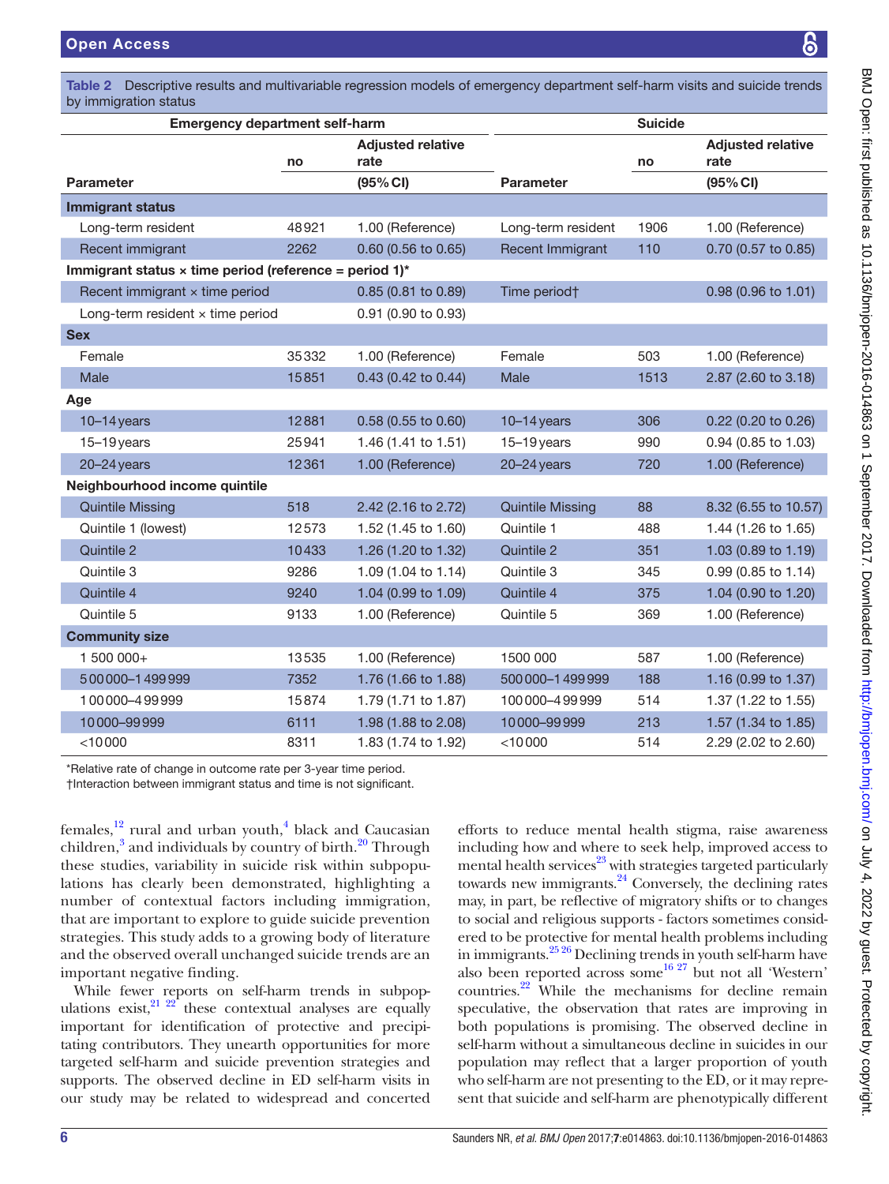<span id="page-5-0"></span>Descriptive results and multivariable regression models of emergency department self-harm visits and suicide trends by immigration status

| <b>Emergency department self-harm</b>                         | <b>Suicide</b> |                                  |                         |      |                                  |  |
|---------------------------------------------------------------|----------------|----------------------------------|-------------------------|------|----------------------------------|--|
|                                                               | no             | <b>Adjusted relative</b><br>rate |                         | no   | <b>Adjusted relative</b><br>rate |  |
| <b>Parameter</b>                                              |                | (95% CI)                         | <b>Parameter</b>        |      | (95% CI)                         |  |
| <b>Immigrant status</b>                                       |                |                                  |                         |      |                                  |  |
| Long-term resident                                            | 48921          | 1.00 (Reference)                 | Long-term resident      | 1906 | 1.00 (Reference)                 |  |
| Recent immigrant                                              | 2262           | 0.60 (0.56 to 0.65)              | Recent Immigrant        | 110  | 0.70 (0.57 to 0.85)              |  |
| Immigrant status $\times$ time period (reference = period 1)* |                |                                  |                         |      |                                  |  |
| Recent immigrant $\times$ time period                         |                | 0.85 (0.81 to 0.89)              | Time period†            |      | $0.98$ (0.96 to 1.01)            |  |
| Long-term resident $\times$ time period                       |                | 0.91 (0.90 to 0.93)              |                         |      |                                  |  |
| <b>Sex</b>                                                    |                |                                  |                         |      |                                  |  |
| Female                                                        | 35332          | 1.00 (Reference)                 | Female                  | 503  | 1.00 (Reference)                 |  |
| Male                                                          | 15851          | 0.43 (0.42 to 0.44)              | Male                    | 1513 | 2.87 (2.60 to 3.18)              |  |
| Age                                                           |                |                                  |                         |      |                                  |  |
| $10-14$ years                                                 | 12881          | 0.58 (0.55 to 0.60)              | $10-14$ years           | 306  | 0.22 (0.20 to 0.26)              |  |
| $15-19$ years                                                 | 25941          | 1.46 (1.41 to 1.51)              | $15 - 19$ years         | 990  | 0.94 (0.85 to 1.03)              |  |
| $20 - 24$ years                                               | 12361          | 1.00 (Reference)                 | $20 - 24$ years         | 720  | 1.00 (Reference)                 |  |
| Neighbourhood income quintile                                 |                |                                  |                         |      |                                  |  |
| <b>Quintile Missing</b>                                       | 518            | 2.42 (2.16 to 2.72)              | <b>Quintile Missing</b> | 88   | 8.32 (6.55 to 10.57)             |  |
| Quintile 1 (lowest)                                           | 12573          | 1.52 (1.45 to 1.60)              | Quintile 1              | 488  | 1.44 (1.26 to 1.65)              |  |
| Quintile 2                                                    | 10433          | 1.26 (1.20 to 1.32)              | Quintile 2              | 351  | 1.03 (0.89 to 1.19)              |  |
| Quintile 3                                                    | 9286           | 1.09 (1.04 to 1.14)              | Quintile 3              | 345  | 0.99 (0.85 to 1.14)              |  |
| Quintile 4                                                    | 9240           | 1.04 (0.99 to 1.09)              | Quintile 4              | 375  | 1.04 (0.90 to 1.20)              |  |
| Quintile 5                                                    | 9133           | 1.00 (Reference)                 | Quintile 5              | 369  | 1.00 (Reference)                 |  |
| <b>Community size</b>                                         |                |                                  |                         |      |                                  |  |
| 1 500 000+                                                    | 13535          | 1.00 (Reference)                 | 1500 000                | 587  | 1.00 (Reference)                 |  |
| 500000-1499999                                                | 7352           | 1.76 (1.66 to 1.88)              | 500000-1499999          | 188  | 1.16 (0.99 to 1.37)              |  |
| 100000-499999                                                 | 15874          | 1.79 (1.71 to 1.87)              | 100000-499999           | 514  | 1.37 (1.22 to 1.55)              |  |
| 10000-99999                                                   | 6111           | 1.98 (1.88 to 2.08)              | 10000-99999             | 213  | 1.57 (1.34 to 1.85)              |  |
| < 10000                                                       | 8311           | 1.83 (1.74 to 1.92)              | $<$ 10000               | 514  | 2.29 (2.02 to 2.60)              |  |

\*Relative rate of change in outcome rate per 3-year time period.

†Interaction between immigrant status and time is not significant.

females,<sup>12</sup> rural and urban youth,<sup>[4](#page-8-3)</sup> black and Caucasian children,<sup>[3](#page-8-2)</sup> and individuals by country of birth.<sup>20</sup> Through these studies, variability in suicide risk within subpopulations has clearly been demonstrated, highlighting a number of contextual factors including immigration, that are important to explore to guide suicide prevention strategies. This study adds to a growing body of literature and the observed overall unchanged suicide trends are an important negative finding.

While fewer reports on self-harm trends in subpopulations exist, $2^{1}$   $2^{2}$  these contextual analyses are equally important for identification of protective and precipitating contributors. They unearth opportunities for more targeted self-harm and suicide prevention strategies and supports. The observed decline in ED self-harm visits in our study may be related to widespread and concerted

efforts to reduce mental health stigma, raise awareness including how and where to seek help, improved access to mental health services $^{23}$  $^{23}$  $^{23}$  with strategies targeted particularly towards new immigrants.<sup>[24](#page-9-0)</sup> Conversely, the declining rates may, in part, be reflective of migratory shifts or to changes to social and religious supports - factors sometimes considered to be protective for mental health problems including in immigrants[.25 26](#page-9-1) Declining trends in youth self-harm have also been reported across some  $^{16\,27}$  but not all 'Western' countries.[22](#page-8-17) While the mechanisms for decline remain speculative, the observation that rates are improving in both populations is promising. The observed decline in self-harm without a simultaneous decline in suicides in our population may reflect that a larger proportion of youth who self-harm are not presenting to the ED, or it may represent that suicide and self-harm are phenotypically different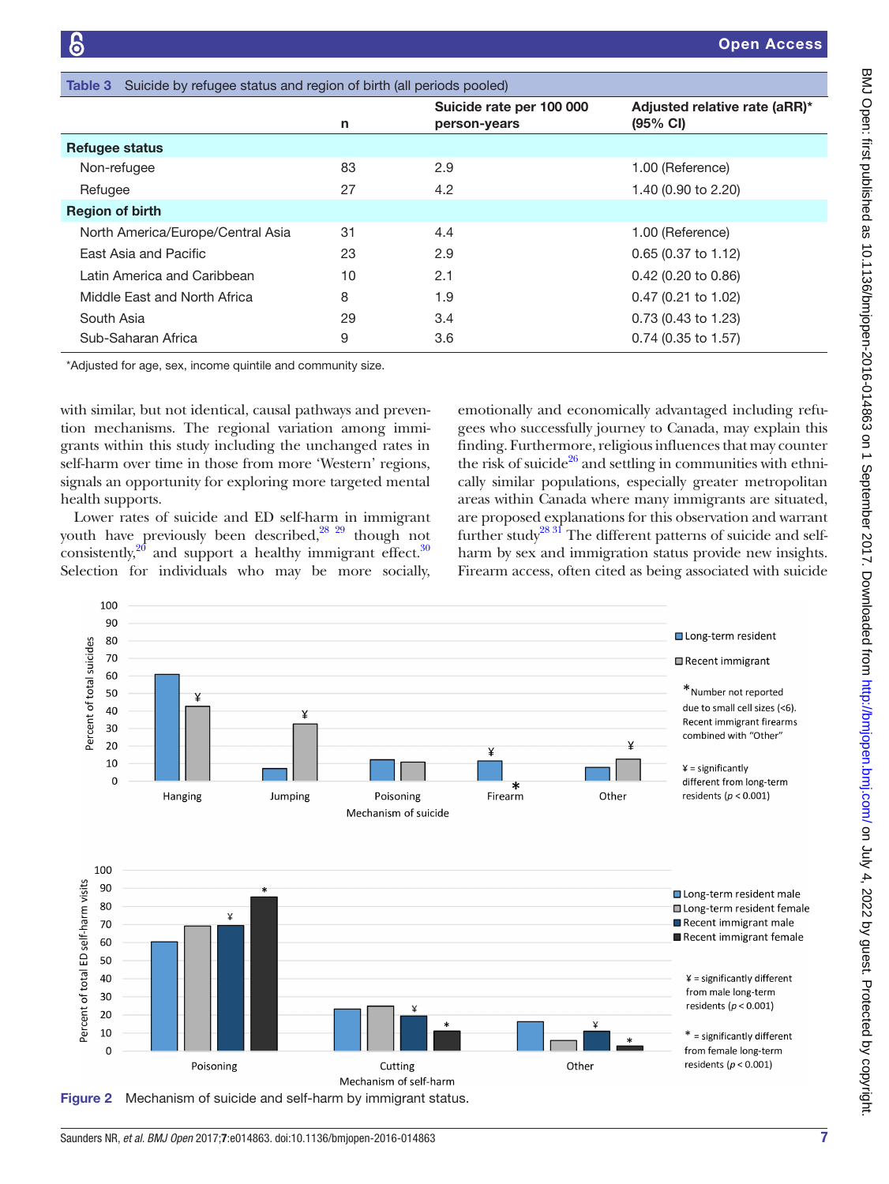<span id="page-6-0"></span>

| Suicide by refugee status and region of birth (all periods pooled)<br>Table 3 |                                          |                                                     |  |  |  |
|-------------------------------------------------------------------------------|------------------------------------------|-----------------------------------------------------|--|--|--|
| n                                                                             | Suicide rate per 100 000<br>person-years | Adjusted relative rate (aRR)*<br>$(95% \text{ Cl})$ |  |  |  |
|                                                                               |                                          |                                                     |  |  |  |
| 83                                                                            | 2.9                                      | 1.00 (Reference)                                    |  |  |  |
| 27                                                                            | 4.2                                      | 1.40 (0.90 to 2.20)                                 |  |  |  |
|                                                                               |                                          |                                                     |  |  |  |
| 31                                                                            | 4.4                                      | 1.00 (Reference)                                    |  |  |  |
| 23                                                                            | 2.9                                      | $0.65$ (0.37 to 1.12)                               |  |  |  |
| 10                                                                            | 2.1                                      | 0.42 (0.20 to 0.86)                                 |  |  |  |
| 8                                                                             | 1.9                                      | $0.47$ (0.21 to 1.02)                               |  |  |  |
| 29                                                                            | 3.4                                      | 0.73 (0.43 to 1.23)                                 |  |  |  |
| 9                                                                             | 3.6                                      | $0.74$ (0.35 to 1.57)                               |  |  |  |
|                                                                               |                                          |                                                     |  |  |  |

\*Adjusted for age, sex, income quintile and community size.

with similar, but not identical, causal pathways and prevention mechanisms. The regional variation among immigrants within this study including the unchanged rates in self-harm over time in those from more 'Western' regions, signals an opportunity for exploring more targeted mental health supports.

Lower rates of suicide and ED self-harm in immigrant youth have previously been described, $^{28}$   $^{29}$  though not consistently, $2^{0}$  and support a healthy immigrant effect. $30$ Selection for individuals who may be more socially,

emotionally and economically advantaged including refugees who successfully journey to Canada, may explain this finding. Furthermore, religious influences that may counter the risk of suicide $^{26}$  $^{26}$  $^{26}$  and settling in communities with ethnically similar populations, especially greater metropolitan areas within Canada where many immigrants are situated, are proposed explanations for this observation and warrant further study<sup>28 31</sup> The different patterns of suicide and selfharm by sex and immigration status provide new insights. Firearm access, often cited as being associated with suicide

<span id="page-6-1"></span>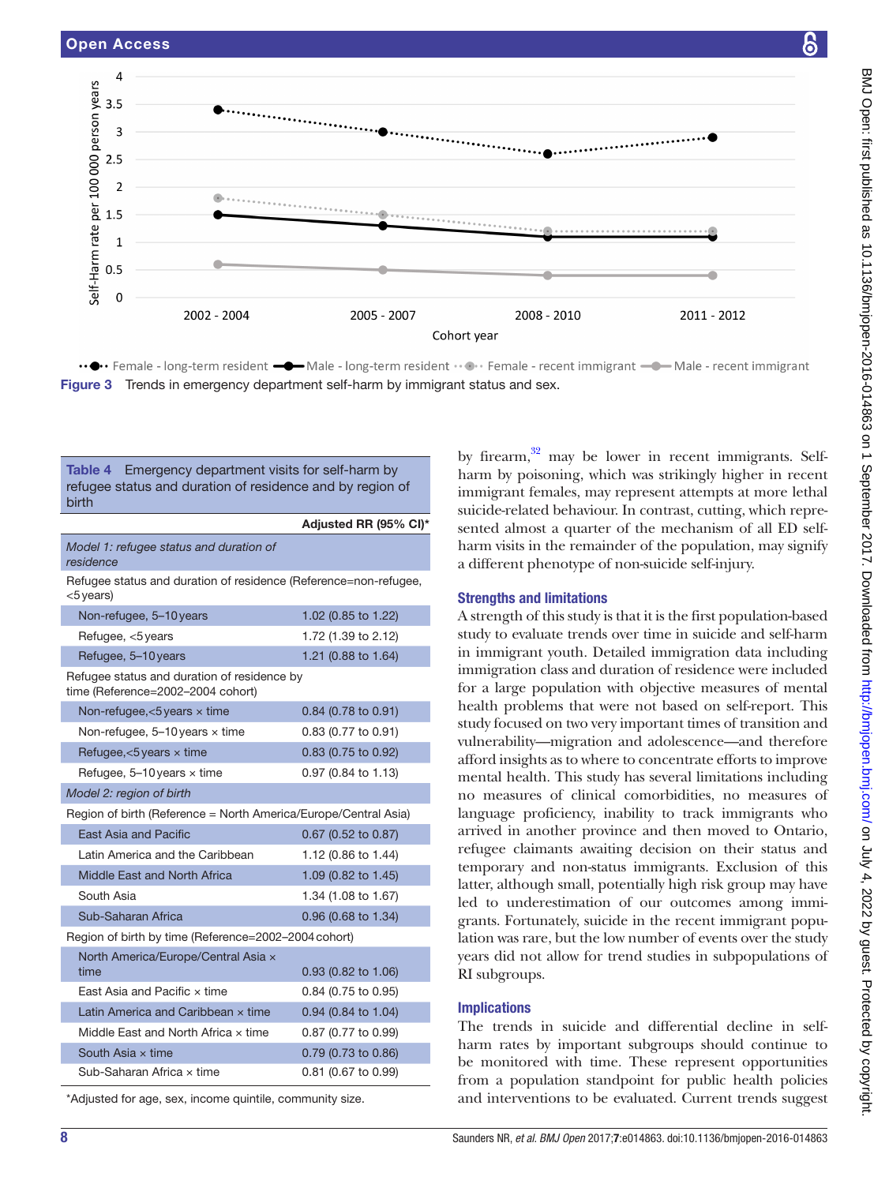

<span id="page-7-0"></span>Figure 3 Trends in emergency department self-harm by immigrant status and sex.

<span id="page-7-1"></span>

| <b>Table 4</b> Emergency department visits for self-harm by<br>refugee status and duration of residence and by region of<br>birth |                       |  |  |  |
|-----------------------------------------------------------------------------------------------------------------------------------|-----------------------|--|--|--|
|                                                                                                                                   | Adjusted RR (95% CI)* |  |  |  |
| Model 1: refugee status and duration of<br>residence                                                                              |                       |  |  |  |
| Refugee status and duration of residence (Reference=non-refugee,<br>$<$ 5 years)                                                  |                       |  |  |  |
| Non-refugee, 5-10 years                                                                                                           | 1.02 (0.85 to 1.22)   |  |  |  |
| Refugee, <5 years                                                                                                                 | 1.72 (1.39 to 2.12)   |  |  |  |
| Refugee, 5-10 years                                                                                                               | 1.21 (0.88 to 1.64)   |  |  |  |
| Refugee status and duration of residence by<br>time (Reference=2002-2004 cohort)                                                  |                       |  |  |  |
| Non-refugee, $<$ 5 years $\times$ time                                                                                            | 0.84 (0.78 to 0.91)   |  |  |  |
| Non-refugee, $5-10$ years $\times$ time                                                                                           | 0.83 (0.77 to 0.91)   |  |  |  |
| Refugee, $<$ 5 years $\times$ time                                                                                                | 0.83 (0.75 to 0.92)   |  |  |  |
| Refugee, $5-10$ years $\times$ time                                                                                               | 0.97 (0.84 to 1.13)   |  |  |  |
| Model 2: region of birth                                                                                                          |                       |  |  |  |
| Region of birth (Reference = North America/Europe/Central Asia)                                                                   |                       |  |  |  |
| <b>East Asia and Pacific</b>                                                                                                      | 0.67 (0.52 to 0.87)   |  |  |  |
| Latin America and the Caribbean                                                                                                   | 1.12 (0.86 to 1.44)   |  |  |  |
| Middle East and North Africa                                                                                                      | 1.09 (0.82 to 1.45)   |  |  |  |
| South Asia                                                                                                                        | 1.34 (1.08 to 1.67)   |  |  |  |
| Sub-Saharan Africa                                                                                                                | 0.96 (0.68 to 1.34)   |  |  |  |
| Region of birth by time (Reference=2002-2004 cohort)                                                                              |                       |  |  |  |
| North America/Europe/Central Asia x<br>time                                                                                       | 0.93 (0.82 to 1.06)   |  |  |  |
| East Asia and Pacific x time                                                                                                      | 0.84 (0.75 to 0.95)   |  |  |  |
| Latin America and Caribbean x time                                                                                                | 0.94 (0.84 to 1.04)   |  |  |  |
| Middle East and North Africa x time<br>0.87 (0.77 to 0.99)                                                                        |                       |  |  |  |
| South Asia $\times$ time<br>0.79 (0.73 to 0.86)                                                                                   |                       |  |  |  |
| Sub-Saharan Africa x time<br>0.81 (0.67 to 0.99)                                                                                  |                       |  |  |  |

\*Adjusted for age, sex, income quintile, community size.

by firearm, $32$  may be lower in recent immigrants. Selfharm by poisoning, which was strikingly higher in recent immigrant females, may represent attempts at more lethal suicide-related behaviour. In contrast, cutting, which represented almost a quarter of the mechanism of all ED selfharm visits in the remainder of the population, may signify a different phenotype of non-suicide self-injury.

### Strengths and limitations

A strength of this study is that it is the first population-based study to evaluate trends over time in suicide and self-harm in immigrant youth. Detailed immigration data including immigration class and duration of residence were included for a large population with objective measures of mental health problems that were not based on self-report. This study focused on two very important times of transition and vulnerability—migration and adolescence—and therefore afford insights as to where to concentrate efforts to improve mental health. This study has several limitations including no measures of clinical comorbidities, no measures of language proficiency, inability to track immigrants who arrived in another province and then moved to Ontario, refugee claimants awaiting decision on their status and temporary and non-status immigrants. Exclusion of this latter, although small, potentially high risk group may have led to underestimation of our outcomes among immigrants. Fortunately, suicide in the recent immigrant population was rare, but the low number of events over the study years did not allow for trend studies in subpopulations of RI subgroups.

# Implications

The trends in suicide and differential decline in selfharm rates by important subgroups should continue to be monitored with time. These represent opportunities from a population standpoint for public health policies and interventions to be evaluated. Current trends suggest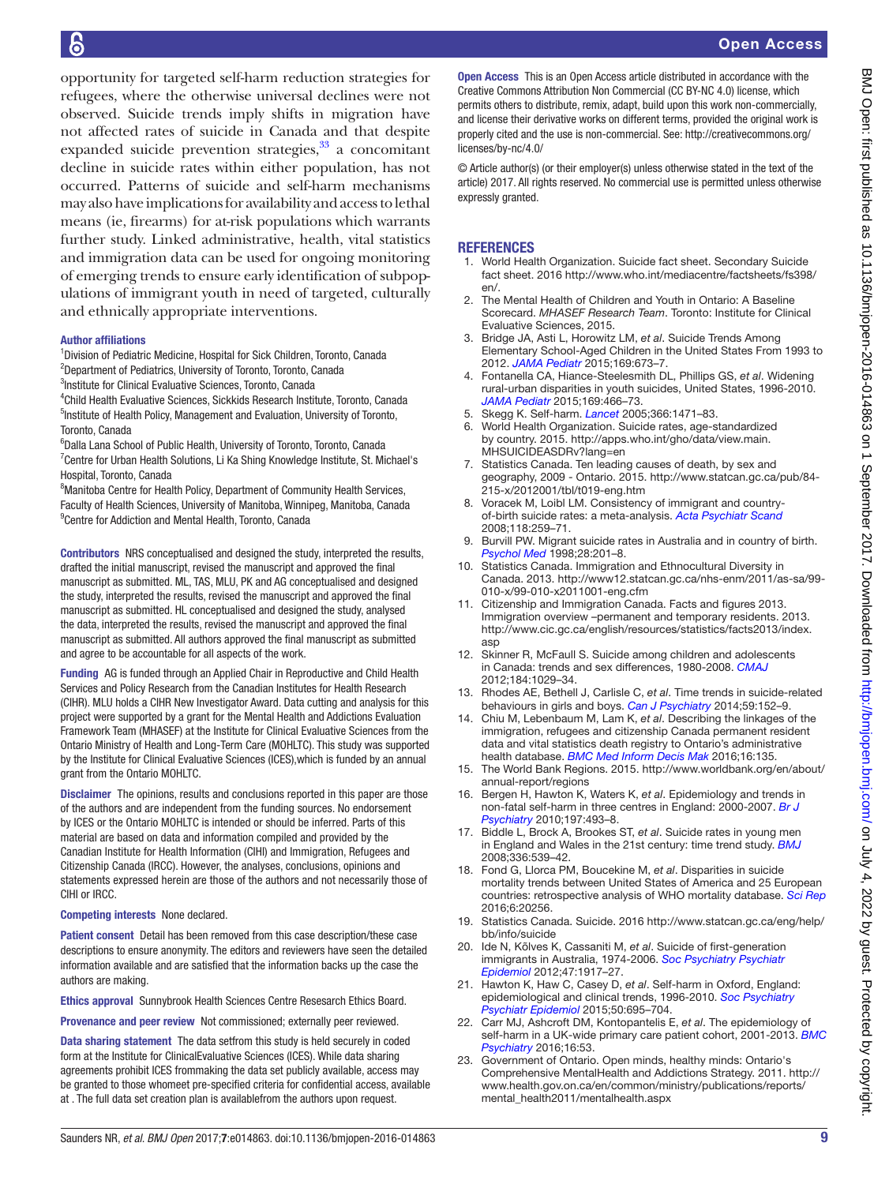opportunity for targeted self-harm reduction strategies for refugees, where the otherwise universal declines were not observed. Suicide trends imply shifts in migration have not affected rates of suicide in Canada and that despite expanded suicide prevention strategies, $33$  a concomitant decline in suicide rates within either population, has not occurred. Patterns of suicide and self-harm mechanisms may also have implications for availability and access to lethal means (ie, firearms) for at-risk populations which warrants further study. Linked administrative, health, vital statistics and immigration data can be used for ongoing monitoring of emerging trends to ensure early identification of subpopulations of immigrant youth in need of targeted, culturally and ethnically appropriate interventions.

#### Author affiliations

b

<sup>1</sup>Division of Pediatric Medicine, Hospital for Sick Children, Toronto, Canada <sup>2</sup>Department of Pediatrics, University of Toronto, Toronto, Canada <sup>3</sup>Institute for Clinical Evaluative Sciences, Toronto, Canada

4 Child Health Evaluative Sciences, Sickkids Research Institute, Toronto, Canada <sup>5</sup>Institute of Health Policy, Management and Evaluation, University of Toronto, Toronto, Canada

6 Dalla Lana School of Public Health, University of Toronto, Toronto, Canada <sup>7</sup> Centre for Urban Health Solutions, Li Ka Shing Knowledge Institute, St. Michael's Hospital, Toronto, Canada

<sup>8</sup> Manitoba Centre for Health Policy, Department of Community Health Services, Faculty of Health Sciences, University of Manitoba, Winnipeg, Manitoba, Canada <sup>9</sup> Centre for Addiction and Mental Health, Toronto, Canada

Contributors NRS conceptualised and designed the study, interpreted the results, drafted the initial manuscript, revised the manuscript and approved the final manuscript as submitted. ML, TAS, MLU, PK and AG conceptualised and designed the study, interpreted the results, revised the manuscript and approved the final manuscript as submitted. HL conceptualised and designed the study, analysed the data, interpreted the results, revised the manuscript and approved the final manuscript as submitted. All authors approved the final manuscript as submitted and agree to be accountable for all aspects of the work.

Funding AG is funded through an Applied Chair in Reproductive and Child Health Services and Policy Research from the Canadian Institutes for Health Research (CIHR). MLU holds a CIHR New Investigator Award. Data cutting and analysis for this project were supported by a grant for the Mental Health and Addictions Evaluation Framework Team (MHASEF) at the Institute for Clinical Evaluative Sciences from the Ontario Ministry of Health and Long-Term Care (MOHLTC). This study was supported by the Institute for Clinical Evaluative Sciences (ICES),which is funded by an annual grant from the Ontario MOHLTC.

Disclaimer The opinions, results and conclusions reported in this paper are those of the authors and are independent from the funding sources. No endorsement by ICES or the Ontario MOHLTC is intended or should be inferred. Parts of this material are based on data and information compiled and provided by the Canadian Institute for Health Information (CIHI) and Immigration, Refugees and Citizenship Canada (IRCC). However, the analyses, conclusions, opinions and statements expressed herein are those of the authors and not necessarily those of CIHI or IRCC.

#### Competing interests None declared.

Patient consent Detail has been removed from this case description/these case descriptions to ensure anonymity. The editors and reviewers have seen the detailed information available and are satisfied that the information backs up the case the authors are making.

Ethics approval Sunnybrook Health Sciences Centre Resesarch Ethics Board.

Provenance and peer review Not commissioned; externally peer reviewed.

Data sharing statement The data setfrom this study is held securely in coded form at the Institute for ClinicalEvaluative Sciences (ICES). While data sharing agreements prohibit ICES frommaking the data set publicly available, access may be granted to those whomeet pre-specified criteria for confidential access, available at . The full data set creation plan is availablefrom the authors upon request.

Open Access This is an Open Access article distributed in accordance with the Creative Commons Attribution Non Commercial (CC BY-NC 4.0) license, which permits others to distribute, remix, adapt, build upon this work non-commercially, and license their derivative works on different terms, provided the original work is properly cited and the use is non-commercial. See: [http://creativecommons.org/](http://creativecommons.org/licenses/by-nc/4.0/) [licenses/by-nc/4.0/](http://creativecommons.org/licenses/by-nc/4.0/)

© Article author(s) (or their employer(s) unless otherwise stated in the text of the article) 2017. All rights reserved. No commercial use is permitted unless otherwise expressly granted.

#### **REFERENCES**

- <span id="page-8-0"></span>1. World Health Organization. Suicide fact sheet. Secondary Suicide fact sheet. 2016 [http://www.who.int/mediacentre/factsheets/fs398/](http://www.who.int/mediacentre/factsheets/fs398/en/) [en/.](http://www.who.int/mediacentre/factsheets/fs398/en/)
- <span id="page-8-1"></span>2. The Mental Health of Children and Youth in Ontario: A Baseline Scorecard. *MHASEF Research Team*. Toronto: Institute for Clinical Evaluative Sciences, 2015.
- <span id="page-8-2"></span>3. Bridge JA, Asti L, Horowitz LM, *et al*. Suicide Trends Among Elementary School-Aged Children in the United States From 1993 to 2012. *[JAMA Pediatr](http://dx.doi.org/10.1001/jamapediatrics.2015.0465)* 2015;169:673–7.
- <span id="page-8-3"></span>4. Fontanella CA, Hiance-Steelesmith DL, Phillips GS, *et al*. Widening rural-urban disparities in youth suicides, United States, 1996-2010. *[JAMA Pediatr](http://dx.doi.org/10.1001/jamapediatrics.2014.3561)* 2015;169:466–73.
- <span id="page-8-4"></span>5. Skegg K. Self-harm. *[Lancet](http://dx.doi.org/10.1016/S0140-6736(05)67600-3)* 2005;366:1471–83.
- <span id="page-8-5"></span>6. World Health Organization. Suicide rates, age-standardized by country. 2015. [http://apps.who.int/gho/data/view.main.](http://apps.who.int/gho/data/view.main.MHSUICIDEASDRv?lang=en) [MHSUICIDEASDRv?lang=en](http://apps.who.int/gho/data/view.main.MHSUICIDEASDRv?lang=en)
- 7. Statistics Canada. Ten leading causes of death, by sex and geography, 2009 - Ontario. 2015. [http://www.statcan.gc.ca/pub/84-](http://www.statcan.gc.ca/pub/84-215-x/2012001/tbl/t019-eng.htm) [215-x/2012001/tbl/t019-eng.htm](http://www.statcan.gc.ca/pub/84-215-x/2012001/tbl/t019-eng.htm)
- <span id="page-8-6"></span>8. Voracek M, Loibl LM. Consistency of immigrant and countryof-birth suicide rates: a meta-analysis. *[Acta Psychiatr Scand](http://dx.doi.org/10.1111/j.1600-0447.2008.01238.x)* 2008;118:259–71.
- 9. Burvill PW. Migrant suicide rates in Australia and in country of birth. *[Psychol Med](http://dx.doi.org/10.1017/S0033291797005850)* 1998;28:201–8.
- <span id="page-8-7"></span>10. Statistics Canada. Immigration and Ethnocultural Diversity in Canada. 2013. [http://www12.statcan.gc.ca/nhs-enm/2011/as-sa/99-](http://www12.statcan.gc.ca/nhs-enm/2011/as-sa/99-010-x/99-010-x2011001-eng.cfm) [010-x/99-010-x2011001-eng.cfm](http://www12.statcan.gc.ca/nhs-enm/2011/as-sa/99-010-x/99-010-x2011001-eng.cfm)
- <span id="page-8-8"></span>11. Citizenship and Immigration Canada. Facts and figures 2013. Immigration overview –permanent and temporary residents. 2013. [http://www.cic.gc.ca/english/resources/statistics/facts2013/index.](http://www.cic.gc.ca/english/resources/statistics/facts2013/index.asp) [asp](http://www.cic.gc.ca/english/resources/statistics/facts2013/index.asp)
- <span id="page-8-9"></span>12. Skinner R, McFaull S. Suicide among children and adolescents in Canada: trends and sex differences, 1980-2008. *[CMAJ](http://dx.doi.org/10.1503/cmaj.111867)* 2012;184:1029–34.
- <span id="page-8-10"></span>13. Rhodes AE, Bethell J, Carlisle C, *et al*. Time trends in suicide-related behaviours in girls and boys. *[Can J Psychiatry](http://dx.doi.org/10.1177/070674371405900307)* 2014;59:152–9.
- <span id="page-8-11"></span>14. Chiu M, Lebenbaum M, Lam K, *et al*. Describing the linkages of the immigration, refugees and citizenship Canada permanent resident data and vital statistics death registry to Ontario's administrative health database. *[BMC Med Inform Decis Mak](http://dx.doi.org/10.1186/s12911-016-0375-3)* 2016;16:135.
- <span id="page-8-12"></span>15. The World Bank Regions. 2015. [http://www.worldbank.org/en/about/](http://www.worldbank.org/en/about/annual-report/regions) [annual-report/regions](http://www.worldbank.org/en/about/annual-report/regions)
- <span id="page-8-16"></span>16. Bergen H, Hawton K, Waters K, *et al*. Epidemiology and trends in non-fatal self-harm in three centres in England: 2000-2007. *[Br J](http://dx.doi.org/10.1192/bjp.bp.110.077651)  [Psychiatry](http://dx.doi.org/10.1192/bjp.bp.110.077651)* 2010;197:493–8.
- 17. Biddle L, Brock A, Brookes ST, *et al*. Suicide rates in young men in England and Wales in the 21st century: time trend study. *[BMJ](http://dx.doi.org/10.1136/bmj.39475.603935.25)* 2008;336:539–42.
- 18. Fond G, Llorca PM, Boucekine M, *et al*. Disparities in suicide mortality trends between United States of America and 25 European countries: retrospective analysis of WHO mortality database. *[Sci Rep](http://dx.doi.org/10.1038/srep20256)* 2016;6:20256.
- 19. Statistics Canada. Suicide. 2016 [http://www.statcan.gc.ca/eng/help/](http://www.statcan.gc.ca/eng/help/bb/info/suicide) [bb/info/suicide](http://www.statcan.gc.ca/eng/help/bb/info/suicide)
- <span id="page-8-13"></span>20. Ide N, Kõlves K, Cassaniti M, *et al*. Suicide of first-generation immigrants in Australia, 1974-2006. *[Soc Psychiatry Psychiatr](http://dx.doi.org/10.1007/s00127-012-0499-4)  [Epidemiol](http://dx.doi.org/10.1007/s00127-012-0499-4)* 2012;47:1917–27.
- <span id="page-8-14"></span>21. Hawton K, Haw C, Casey D, *et al*. Self-harm in Oxford, England: epidemiological and clinical trends, 1996-2010. *[Soc Psychiatry](http://dx.doi.org/10.1007/s00127-014-0990-1)  [Psychiatr Epidemiol](http://dx.doi.org/10.1007/s00127-014-0990-1)* 2015;50:695–704.
- <span id="page-8-17"></span>22. Carr MJ, Ashcroft DM, Kontopantelis E, *et al*. The epidemiology of self-harm in a UK-wide primary care patient cohort, 2001-2013. *[BMC](http://dx.doi.org/10.1186/s12888-016-0753-5)  [Psychiatry](http://dx.doi.org/10.1186/s12888-016-0753-5)* 2016;16:53.
- <span id="page-8-15"></span>23. Government of Ontario. Open minds, healthy minds: Ontario's Comprehensive MentalHealth and Addictions Strategy. 2011. [http://](http://www.health.gov.on.ca/en/common/ministry/publications/reports/mental_health2011/mentalhealth.aspx) [www.health.gov.on.ca/en/common/ministry/publications/reports/](http://www.health.gov.on.ca/en/common/ministry/publications/reports/mental_health2011/mentalhealth.aspx) [mental\\_health2011/mentalhealth.aspx](http://www.health.gov.on.ca/en/common/ministry/publications/reports/mental_health2011/mentalhealth.aspx)